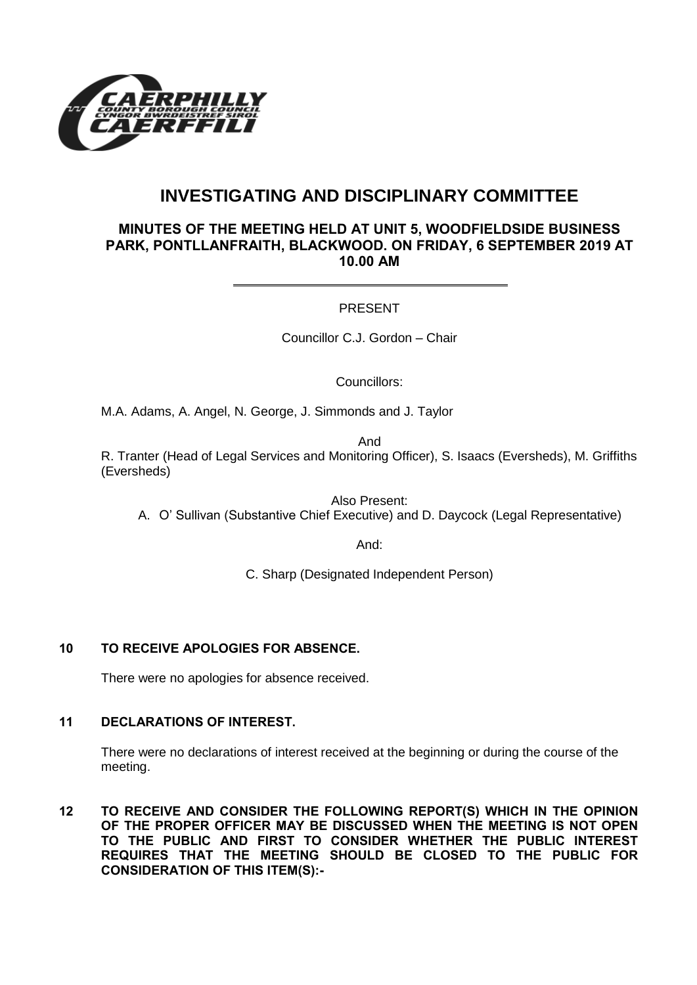

# **INVESTIGATING AND DISCIPLINARY COMMITTEE**

### **MINUTES OF THE MEETING HELD AT UNIT 5, WOODFIELDSIDE BUSINESS PARK, PONTLLANFRAITH, BLACKWOOD. ON FRIDAY, 6 SEPTEMBER 2019 AT 10.00 AM**

#### PRESENT

Councillor C.J. Gordon – Chair

Councillors:

M.A. Adams, A. Angel, N. George, J. Simmonds and J. Taylor

And

R. Tranter (Head of Legal Services and Monitoring Officer), S. Isaacs (Eversheds), M. Griffiths (Eversheds)

Also Present:

A. O' Sullivan (Substantive Chief Executive) and D. Daycock (Legal Representative)

And:

C. Sharp (Designated Independent Person)

## **10 TO RECEIVE APOLOGIES FOR ABSENCE.**

There were no apologies for absence received.

# **11 DECLARATIONS OF INTEREST.**

There were no declarations of interest received at the beginning or during the course of the meeting.

**12 TO RECEIVE AND CONSIDER THE FOLLOWING REPORT(S) WHICH IN THE OPINION OF THE PROPER OFFICER MAY BE DISCUSSED WHEN THE MEETING IS NOT OPEN TO THE PUBLIC AND FIRST TO CONSIDER WHETHER THE PUBLIC INTEREST REQUIRES THAT THE MEETING SHOULD BE CLOSED TO THE PUBLIC FOR CONSIDERATION OF THIS ITEM(S):-**